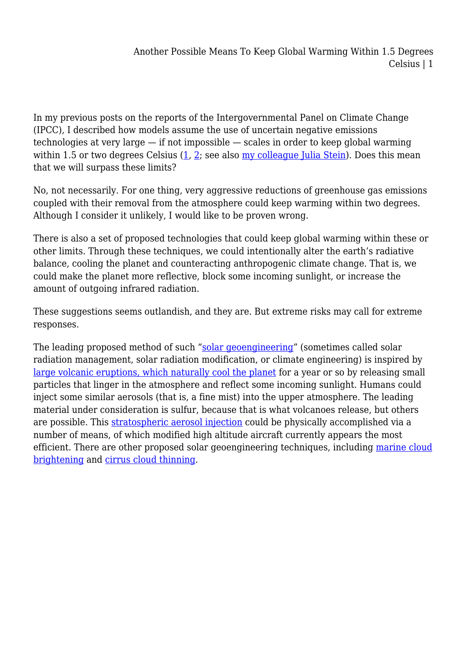In my previous posts on the reports of the Intergovernmental Panel on Climate Change (IPCC), I described how models assume the use of uncertain negative emissions technologies at very large — if not impossible — scales in order to keep global warming within 1.5 or two degrees Celsius  $(1, 2)$  $(1, 2)$  $(1, 2)$  $(1, 2)$  $(1, 2)$ ; see also  $mv$  colleague Julia Stein). Does this mean that we will surpass these limits?

No, not necessarily. For one thing, very aggressive reductions of greenhouse gas emissions coupled with their removal from the atmosphere could keep warming within two degrees. Although I consider it unlikely, I would like to be proven wrong.

There is also a set of proposed technologies that could keep global warming within these or other limits. Through these techniques, we could intentionally alter the earth's radiative balance, cooling the planet and counteracting anthropogenic climate change. That is, we could make the planet more reflective, block some incoming sunlight, or increase the amount of outgoing infrared radiation.

These suggestions seems outlandish, and they are. But extreme risks may call for extreme responses.

The leading proposed method of such "[solar geoengineering](https://en.wikipedia.org/wiki/Solar_radiation_management)" (sometimes called solar radiation management, solar radiation modification, or climate engineering) is inspired by [large volcanic eruptions, which naturally cool the planet](https://en.wikipedia.org/wiki/Volcanic_winter) for a year or so by releasing small particles that linger in the atmosphere and reflect some incoming sunlight. Humans could inject some similar aerosols (that is, a fine mist) into the upper atmosphere. The leading material under consideration is sulfur, because that is what volcanoes release, but others are possible. This [stratospheric aerosol injection](https://en.wikipedia.org/wiki/Stratospheric_sulfate_aerosols_(geoengineering)) could be physically accomplished via a number of means, of which modified high altitude aircraft currently appears the most efficient. There are other proposed solar geoengineering techniques, including [marine cloud](https://en.wikipedia.org/wiki/Marine_cloud_brightening) [brightening](https://en.wikipedia.org/wiki/Marine_cloud_brightening) and [cirrus cloud thinning](https://en.wikipedia.org/wiki/Cirrus_cloud_thinning).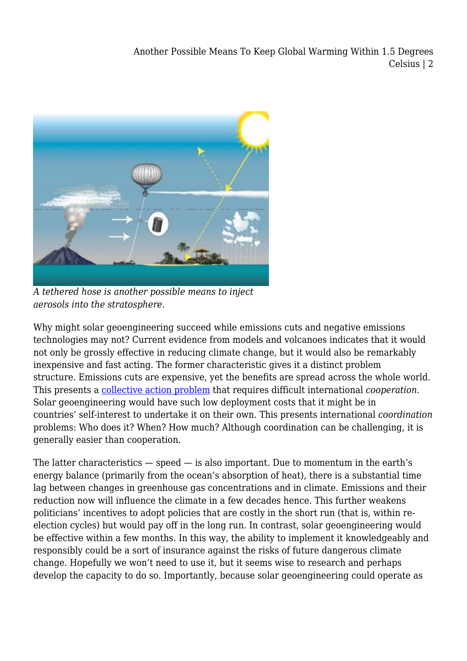Another Possible Means To Keep Global Warming Within 1.5 Degrees Celsius | 2



*A tethered hose is another possible means to inject aerosols into the stratosphere.*

Why might solar geoengineering succeed while emissions cuts and negative emissions technologies may not? Current evidence from models and volcanoes indicates that it would not only be grossly effective in reducing climate change, but it would also be remarkably inexpensive and fast acting. The former characteristic gives it a distinct problem structure. Emissions cuts are expensive, yet the benefits are spread across the whole world. This presents a [collective action problem](https://en.wikipedia.org/wiki/Collective_action_problem) that requires difficult international *cooperation*. Solar geoengineering would have such low deployment costs that it might be in countries' self-interest to undertake it on their own. This presents international *coordination* problems: Who does it? When? How much? Although coordination can be challenging, it is generally easier than cooperation.

The latter characteristics  $-$  speed  $-$  is also important. Due to momentum in the earth's energy balance (primarily from the ocean's absorption of heat), there is a substantial time lag between changes in greenhouse gas concentrations and in climate. Emissions and their reduction now will influence the climate in a few decades hence. This further weakens politicians' incentives to adopt policies that are costly in the short run (that is, within reelection cycles) but would pay off in the long run. In contrast, solar geoengineering would be effective within a few months. In this way, the ability to implement it knowledgeably and responsibly could be a sort of insurance against the risks of future dangerous climate change. Hopefully we won't need to use it, but it seems wise to research and perhaps develop the capacity to do so. Importantly, because solar geoengineering could operate as